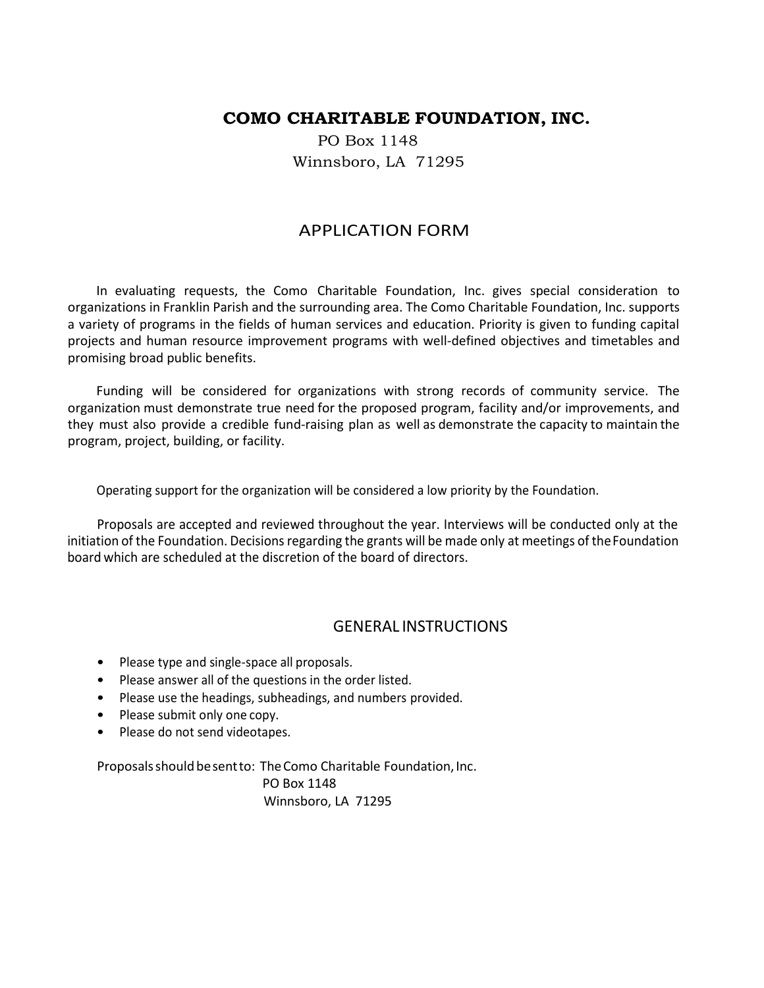### **COMO CHARITABLE FOUNDATION, INC.**

 PO Box 1148 Winnsboro, LA 71295

#### APPLICATION FORM

In evaluating requests, the Como Charitable Foundation, Inc. gives special consideration to organizations in Franklin Parish and the surrounding area. The Como Charitable Foundation, Inc. supports a variety of programs in the fields of human services and education. Priority is given to funding capital projects and human resource improvement programs with well-defined objectives and timetables and promising broad public benefits.

Funding will be considered for organizations with strong records of community service. The organization must demonstrate true need for the proposed program, facility and/or improvements, and they must also provide a credible fund-raising plan as well as demonstrate the capacity to maintain the program, project, building, or facility.

Operating support for the organization will be considered a low priority by the Foundation.

Proposals are accepted and reviewed throughout the year. Interviews will be conducted only at the initiation of the Foundation. Decisions regarding the grants will be made only at meetings of theFoundation board which are scheduled at the discretion of the board of directors.

#### GENERAL INSTRUCTIONS

- Please type and single-space all proposals.
- Please answer all of the questions in the order listed.
- Please use the headings, subheadings, and numbers provided.
- Please submit only one copy.
- Please do not send videotapes.

Proposals should be sent to: The Como Charitable Foundation, Inc. PO Box 1148 Winnsboro, LA 71295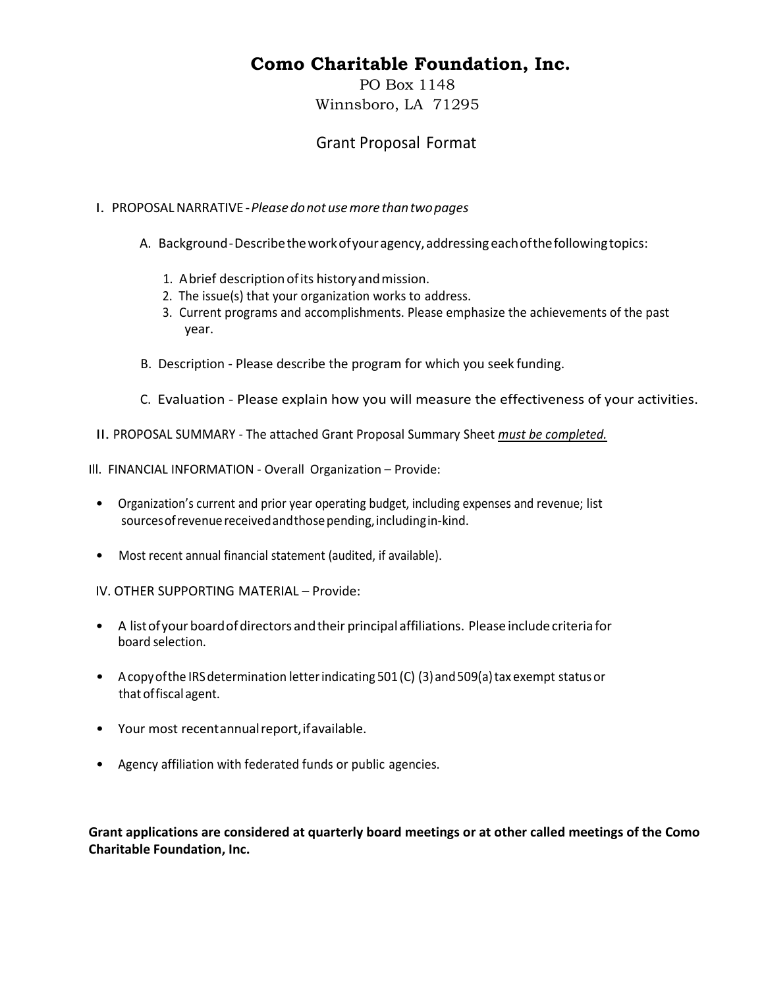# **Como Charitable Foundation, Inc.**

PO Box 1148 Winnsboro, LA 71295

## Grant Proposal Format

#### I. PROPOSALNARRATIVE -*Please donot usemore thantwopages*

- A. Background-Describetheworkofyouragency,addressing eachofthefollowingtopics:
	- 1. Abrief description of its history and mission.
	- 2. The issue(s) that your organization works to address.
	- 3. Current programs and accomplishments. Please emphasize the achievements of the past year.
- B. Description Please describe the program for which you seek funding.
- C. Evaluation Please explain how you will measure the effectiveness of your activities.
- II. PROPOSAL SUMMARY The attached Grant Proposal Summary Sheet *must be completed.*

Ill. FINANCIAL INFORMATION - Overall Organization – Provide:

- Organization's current and prior year operating budget, including expenses and revenue; list sourcesofrevenuereceivedandthosepending,includingin-kind.
- Most recent annual financial statement (audited, if available).

IV. OTHER SUPPORTING MATERIAL – Provide:

- A list of your board of directors and their principal affiliations. Please include criteria for board selection.
- Acopy of the IRS determination letter indicating  $501$  (C) (3) and  $509$ (a) tax exempt status or that offiscal agent.
- Your most recentannual report, if available.
- Agency affiliation with federated funds or public agencies.

**Grant applications are considered at quarterly board meetings or at other called meetings of the Como Charitable Foundation, Inc.**